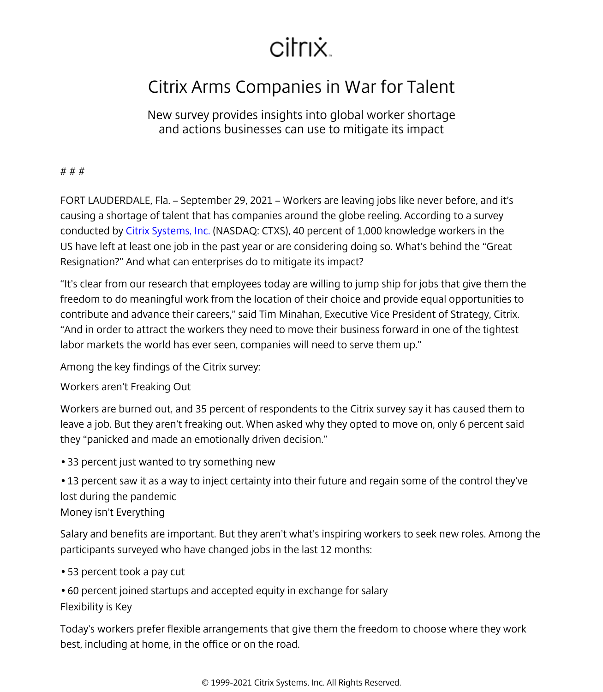## citrix.

## Citrix Arms Companies in War for Talent

New survey provides insights into global worker shortage and actions businesses can use to mitigate its impact

# # #

FORT LAUDERDALE, Fla. – September 29, 2021 – Workers are leaving jobs like never before, and it's causing a shortage of talent that has companies around the globe reeling. According to a survey conducted by [Citrix Systems, Inc.](/content/citrix/en-nz.html) (NASDAQ: CTXS), 40 percent of 1,000 knowledge workers in the US have left at least one job in the past year or are considering doing so. What's behind the "Great Resignation?" And what can enterprises do to mitigate its impact?

"It's clear from our research that employees today are willing to jump ship for jobs that give them the freedom to do meaningful work from the location of their choice and provide equal opportunities to contribute and advance their careers," said Tim Minahan, Executive Vice President of Strategy, Citrix. "And in order to attract the workers they need to move their business forward in one of the tightest labor markets the world has ever seen, companies will need to serve them up."

Among the key findings of the Citrix survey:

Workers aren't Freaking Out

Workers are burned out, and 35 percent of respondents to the Citrix survey say it has caused them to leave a job. But they aren't freaking out. When asked why they opted to move on, only 6 percent said they "panicked and made an emotionally driven decision."

• 33 percent just wanted to try something new

• 13 percent saw it as a way to inject certainty into their future and regain some of the control they've lost during the pandemic

Money isn't Everything

Salary and benefits are important. But they aren't what's inspiring workers to seek new roles. Among the participants surveyed who have changed jobs in the last 12 months:

• 53 percent took a pay cut

• 60 percent joined startups and accepted equity in exchange for salary Flexibility is Key

Today's workers prefer flexible arrangements that give them the freedom to choose where they work best, including at home, in the office or on the road.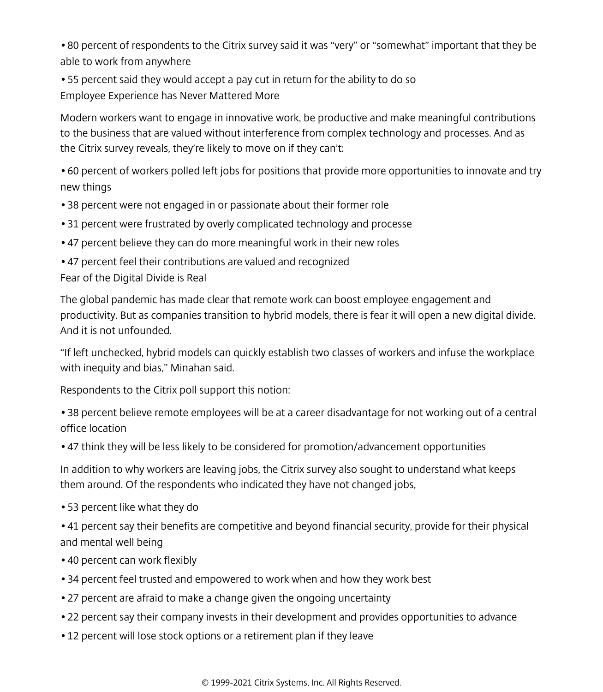• 80 percent of respondents to the Citrix survey said it was "very" or "somewhat" important that they be able to work from anywhere

• 55 percent said they would accept a pay cut in return for the ability to do so Employee Experience has Never Mattered More

Modern workers want to engage in innovative work, be productive and make meaningful contributions to the business that are valued without interference from complex technology and processes. And as the Citrix survey reveals, they're likely to move on if they can't:

• 60 percent of workers polled left jobs for positions that provide more opportunities to innovate and try new things

- 38 percent were not engaged in or passionate about their former role
- 31 percent were frustrated by overly complicated technology and processe
- 47 percent believe they can do more meaningful work in their new roles
- 47 percent feel their contributions are valued and recognized

Fear of the Digital Divide is Real

The global pandemic has made clear that remote work can boost employee engagement and productivity. But as companies transition to hybrid models, there is fear it will open a new digital divide. And it is not unfounded.

"If left unchecked, hybrid models can quickly establish two classes of workers and infuse the workplace with inequity and bias," Minahan said.

Respondents to the Citrix poll support this notion:

- 38 percent believe remote employees will be at a career disadvantage for not working out of a central office location
- 47 think they will be less likely to be considered for promotion/advancement opportunities

In addition to why workers are leaving jobs, the Citrix survey also sought to understand what keeps them around. Of the respondents who indicated they have not changed jobs,

- 53 percent like what they do
- 41 percent say their benefits are competitive and beyond financial security, provide for their physical and mental well being
- 40 percent can work flexibly
- 34 percent feel trusted and empowered to work when and how they work best
- 27 percent are afraid to make a change given the ongoing uncertainty
- 22 percent say their company invests in their development and provides opportunities to advance
- 12 percent will lose stock options or a retirement plan if they leave